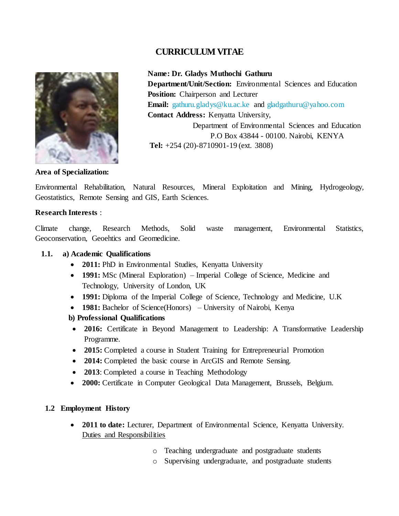# **CURRICULUM VITAE**



 **Name: Dr. Gladys Muthochi Gathuru Department/Unit/Section:** Environmental Sciences and Education  **Position:** Chairperson and Lecturer **Email:** [gathuru.gladys@ku.ac.ke](mailto:gathuru.gladys@ku.ac.ke) and [gladgathuru@yahoo.com](mailto:gladgathuru@yahoo.com)  **Contact Address:** Kenyatta University, Department of Environmental Sciences and Education P.O Box 43844 - 00100. Nairobi, KENYA  **Tel:** +254 (20)-8710901-19 (ext. 3808)

#### **Area of Specialization:**

Environmental Rehabilitation, Natural Resources, Mineral Exploitation and Mining, Hydrogeology, Geostatistics, Remote Sensing and GIS, Earth Sciences.

#### **Research Interests** :

Climate change, Research Methods, Solid waste management, Environmental Statistics, Geoconservation, Geoehtics and Geomedicine.

#### **1.1. a) Academic Qualifications**

- **2011:** PhD in Environmental Studies, Kenyatta University
- **1991:** MSc (Mineral Exploration) Imperial College of Science, Medicine and Technology, University of London, UK
- **1991:** Diploma of the Imperial College of Science, Technology and Medicine, U.K
- **1981:** Bachelor of Science(Honors) University of Nairobi, Kenya

#### **b) Professional Qualifications**

- **2016:** Certificate in Beyond Management to Leadership: A Transformative Leadership Programme.
- **2015:** Completed a course in Student Training for Entrepreneurial Promotion
- **2014:** Completed the basic course in ArcGIS and Remote Sensing.
- **2013**: Completed a course in Teaching Methodology
- **2000:** Certificate in Computer Geological Data Management, Brussels, Belgium.

#### **1.2 Employment History**

- **2011 to date:** Lecturer, Department of Environmental Science, Kenyatta University. Duties and Responsibilities
	- o Teaching undergraduate and postgraduate students
	- o Supervising undergraduate, and postgraduate students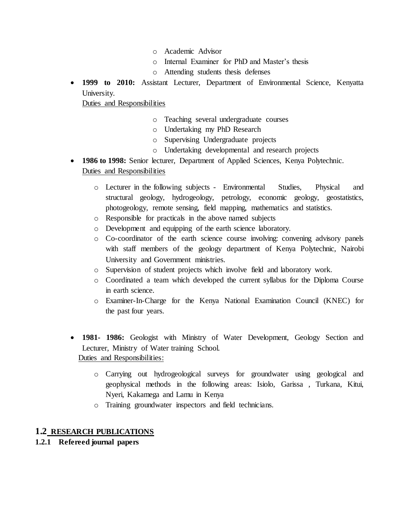- o Academic Advisor
- o Internal Examiner for PhD and Master's thesis
- o Attending students thesis defenses
- **1999 to 2010:** Assistant Lecturer, Department of Environmental Science, Kenyatta University.

Duties and Responsibilities

- o Teaching several undergraduate courses
- o Undertaking my PhD Research
- o Supervising Undergraduate projects
- o Undertaking developmental and research projects
- **1986 to 1998:** Senior lecturer, Department of Applied Sciences, Kenya Polytechnic. Duties and Responsibilities
	- o Lecturer in the following subjects Environmental Studies, Physical and structural geology, hydrogeology, petrology, economic geology, geostatistics, photogeology, remote sensing, field mapping, mathematics and statistics.
	- o Responsible for practicals in the above named subjects
	- o Development and equipping of the earth science laboratory.
	- o Co-coordinator of the earth science course involving: convening advisory panels with staff members of the geology department of Kenya Polytechnic, Nairobi University and Government ministries.
	- o Supervision of student projects which involve field and laboratory work.
	- o Coordinated a team which developed the current syllabus for the Diploma Course in earth science.
	- o Examiner-In-Charge for the Kenya National Examination Council (KNEC) for the past four years.
- **1981- 1986:** Geologist with Ministry of Water Development, Geology Section and Lecturer, Ministry of Water training School. Duties and Responsibilities:
	- o Carrying out hydrogeological surveys for groundwater using geological and geophysical methods in the following areas: Isiolo, Garissa , Turkana, Kitui, Nyeri, Kakamega and Lamu in Kenya
	- o Training groundwater inspectors and field technicians.

## **1.2 RESEARCH PUBLICATIONS**

## **1.2.1 Refereed journal papers**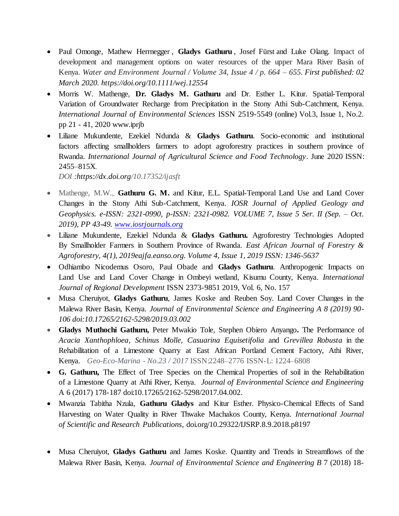- [Paul Omonge,](https://onlinelibrary.wiley.com/action/doSearch?ContribAuthorStored=Omonge%2C+Paul) [Mathew Herrnegger](https://onlinelibrary.wiley.com/action/doSearch?ContribAuthorStored=Herrnegger%2C+Mathew), [Gladys Gathuru](https://onlinelibrary.wiley.com/action/doSearch?ContribAuthorStored=Gathuru%2C+Gladys), [Josef Fürst](https://onlinelibrary.wiley.com/action/doSearch?ContribAuthorStored=F%C3%BCrst%2C+Josef) and [Luke Olang.](https://onlinelibrary.wiley.com/action/doSearch?ContribAuthorStored=Olang%2C+Luke) Impact of development and management options on water resources of the upper Mara River Basin of Kenya. *Water and Environment Journal / Volume 34, Issue 4 / p. 664 – 655. First published: 02 March 2020.<https://doi.org/10.1111/wej.12554>*
- Morris W. Mathenge, **Dr. Gladys M. Gathuru** and Dr. Esther L. Kitur. Spatial-Temporal Variation of Groundwater Recharge from Precipitation in the Stony Athi Sub-Catchment, Kenya. *International Journal of Environmental Sciences* ISSN 2519-5549 (online) Vol.3, Issue 1, No.2. pp 21 - 41, 2020 www.iprjb
- Liliane Mukundente, Ezekiel Ndunda & **Gladys Gathuru**. Socio-economic and institutional factors affecting smallholders farmers to adopt agroforestry practices in southern province of Rwanda. *International Journal of Agricultural Science and Food Technology*. June 2020 ISSN: 2455–815X*.*

*DOI :https://dx.doi.org/10.17352/ijasft*

- Mathenge, M.W., **Gathuru G. M.** and Kitur, E.L. Spatial-Temporal Land Use and Land Cover Changes in the Stony Athi Sub-Catchment, Kenya. *IOSR Journal of Applied Geology and Geophysics. e-ISSN: 2321-0990, p-ISSN: 2321-0982. VOLUME 7, Issue 5 Ser. II (Sep. – Oct. 2019), PP 43-49. [www.iosrjournals.org](http://www.iosrjournals.org/)*
- Liliane Mukundente, Ezekiel Ndunda & **Gladys Gathuru.** Agroforestry Technologies Adopted By Smallholder Farmers in Southern Province of Rwanda. *East African Journal of Forestry & Agroforestry, 4(1), 2019eajfa.eanso.org. Volume 4, Issue 1, 2019 ISSN: 1346-5637*
- Odhiambo Nicodemus Osoro, Paul Obade and **Gladys Gathuru**. Anthropogenic Impacts on Land Use and Land Cover Change in Ombeyi wetland, Kisumu County, Kenya. *International Journal of Regional Development* ISSN 2373-9851 2019, Vol. 6, No. 157
- Musa Cheruiyot, **Gladys Gathuru**, James Koske and Reuben Soy. Land Cover Changes in the Malewa River Basin, Kenya. *Journal of Environmental Science and Engineering A 8 (2019) 90- 106 doi:10.17265/2162-5298/2019.03.002*
- **Gladys Muthochi Gathuru,** Peter Mwakio Tole, Stephen Obiero Anyango**.** The Performance of *Acacia Xanthophloea*, *Schinus Molle*, *Casuarina Equisetifolia* and *Grevillea Robusta* in the Rehabilitation of a Limestone Quarry at East African Portland Cement Factory, Athi River, Kenya. *Geo-Eco-Marina - No.23 / 2017* ISSN:2248–2776 ISSN-L: 1224–6808
- **G. Gathuru,** The Effect of Tree Species on the Chemical Properties of soil in the Rehabilitation of a Limestone Quarry at Athi River, Kenya. *Journal of Environmental Science and Engineering*  A 6 (2017) 178-187 doi:10.17265/2162-5298/2017.04.002.
- Mwanzia Tabitha Nzula, **Gathuru Gladys** and Kitur Esther. Physico-Chemical Effects of Sand Harvesting on Water Quality in River Thwake Machakos County, Kenya. *International Journal of Scientific and Research Publications*, doi.org/10.29322/IJSRP.8.9.2018.p8197
- Musa Cheruiyot, **Gladys Gathuru** and James Koske. Quantity and Trends in Streamflows of the Malewa River Basin, Kenya. *Journal of Environmental Science and Engineering B* 7 (2018) 18-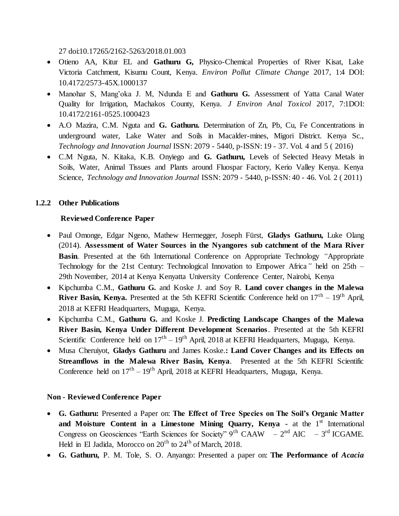27 doi:10.17265/2162-5263/2018.01.003

- Otieno AA, Kitur EL and **Gathuru G,** Physico-Chemical Properties of River Kisat, Lake Victoria Catchment, Kisumu Count, Kenya. *Environ Pollut Climate Change* 2017, 1:4 DOI: 10.4172/2573-45X.1000137
- Manohar S, Mang'oka J. M, Ndunda E and **Gathuru G.** Assessment of Yatta Canal Water Quality for Irrigation, Machakos County, Kenya. *J Environ Anal Toxicol* 2017, 7:1DOI: 10.4172/2161-0525.1000423
- A.O Mazira, C.M. Nguta and **G. Gathuru.** Determination of Zn, Pb, Cu, Fe Concentrations in underground water, Lake Water and Soils in Macalder-mines, Migori District. Kenya Sc., *Technology and Innovation Journal* ISSN: 2079 - 5440, p-ISSN: 19 - 37. Vol. 4 and 5 ( 2016)
- C.M Nguta, N. Kitaka, K.B. Onyiego and **G. Gathuru,** Levels of Selected Heavy Metals in Soils, Water, Animal Tissues and Plants around Fluospar Factory, Kerio Valley Kenya. Kenya Science, *Technology and Innovation Journal* ISSN: 2079 - 5440, p-ISSN: 40 - 46. Vol. 2 ( 2011)

## **1.2.2 Other Publications**

### **Reviewed Conference Paper**

- Paul Omonge, Edgar Ngeno, Mathew Herrnegger, Joseph Fürst, **Gladys Gathuru,** Luke Olang (2014). **Assessment of Water Sources in the Nyangores sub catchment of the Mara River Basin**. Presented at the 6th International Conference on Appropriate Technology *"*Appropriate Technology for the 21st Century: Technological Innovation to Empower Africa*"* held on 25th – 29th November, 2014 at Kenya Kenyatta University Conference Center, Nairobi, Kenya
- Kipchumba C.M., **Gathuru G.** and Koske J. and Soy R. **Land cover changes in the Malewa River Basin, Kenya.** Presented at the 5th KEFRI Scientific Conference held on  $17<sup>th</sup> - 19<sup>th</sup>$  April, 2018 at KEFRI Headquarters, Muguga, Kenya.
- Kipchumba C.M., **Gathuru G.** and Koske J. **Predicting Landscape Changes of the Malewa River Basin, Kenya Under Different Development Scenarios**. Presented at the 5th KEFRI Scientific Conference held on  $17<sup>th</sup> - 19<sup>th</sup>$  April, 2018 at KEFRI Headquarters, Muguga, Kenya.
- Musa Cheruiyot, **Gladys Gathuru** and James Koske.**: Land Cover Changes and its Effects on Streamflows in the Malewa River Basin, Kenya**. Presented at the 5th KEFRI Scientific Conference held on  $17<sup>th</sup> - 19<sup>th</sup>$  April, 2018 at KEFRI Headquarters, Muguga, Kenya.

#### **Non - Reviewed Conference Paper**

- **G. Gathuru:** Presented a Paper on: **The Effect of Tree Species on The Soil's Organic Matter and Moisture Content in a Limestone Mining Quarry, Kenya -** at the 1<sup>st</sup> International Congress on Geosciences "Earth Sciences for Society"  $9^{th}$  CAAW  $-2^{nd}$  AIC  $-3^{rd}$  ICGAME. Held in El Jadida, Morocco on 20<sup>th</sup> to 24<sup>th</sup> of March, 2018.
- **G. Gathuru,** P. M. Tole, S. O. Anyango: Presented a paper on: **The Performance of** *Acacia*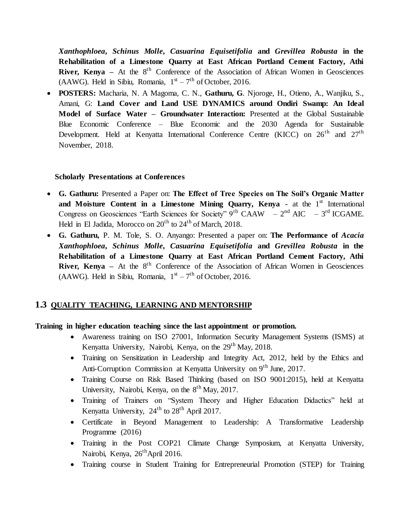*Xanthophloea***,** *Schinus Molle***,** *Casuarina Equisetifolia* **and** *Grevillea Robusta* **in the Rehabilitation of a Limestone Quarry at East African Portland Cement Factory, Athi River, Kenya** – At the 8<sup>th</sup> Conference of the Association of African Women in Geosciences (AAWG). Held in Sibiu, Romania,  $1<sup>st</sup> - 7<sup>th</sup>$  of October, 2016.

 **POSTERS:** Macharia, N. A Magoma, C. N., **Gathuru, G**. Njoroge, H., Otieno, A., Wanjiku, S., Amani, G: **Land Cover and Land USE DYNAMICS around Ondiri Swamp: An Ideal Model of Surface Water – Groundwater Interaction:** Presented at the Global Sustainable Blue Economic Conference – Blue Economic and the 2030 Agenda for Sustainable Development. Held at Kenyatta International Conference Centre (KICC) on  $26<sup>th</sup>$  and  $27<sup>th</sup>$ November, 2018.

### **Scholarly Presentations at Conferences**

- **G. Gathuru:** Presented a Paper on: **The Effect of Tree Species on The Soil's Organic Matter and Moisture Content in a Limestone Mining Quarry, Kenya -** at the  $1<sup>st</sup>$  International Congress on Geosciences "Earth Sciences for Society"  $9^{th}$  CAAW  $-2^{nd}$  AIC  $-3^{rd}$  ICGAME. Held in El Jadida, Morocco on  $20<sup>th</sup>$  to  $24<sup>th</sup>$  of March, 2018.
- **G. Gathuru,** P. M. Tole, S. O. Anyango: Presented a paper on: **The Performance of** *Acacia Xanthophloea***,** *Schinus Molle***,** *Casuarina Equisetifolia* **and** *Grevillea Robusta* **in the Rehabilitation of a Limestone Quarry at East African Portland Cement Factory, Athi River, Kenya** – At the 8<sup>th</sup> Conference of the Association of African Women in Geosciences (AAWG). Held in Sibiu, Romania,  $1<sup>st</sup> - 7<sup>th</sup>$  of October, 2016.

# **1.3 QUALITY TEACHING, LEARNING AND MENTORSHIP**

## **Training in higher education teaching since the last appointment or promotion.**

- Awareness training on ISO 27001, Information Security Management Systems (ISMS) at Kenyatta University, Nairobi, Kenya, on the  $29<sup>th</sup>$  May, 2018.
- Training on Sensitization in Leadership and Integrity Act, 2012, held by the Ethics and Anti-Corruption Commission at Kenyatta University on 9<sup>th</sup> June, 2017.
- Training Course on Risk Based Thinking (based on ISO 9001:2015), held at Kenyatta University, Nairobi, Kenya, on the  $8<sup>th</sup>$  May, 2017.
- Training of Trainers on "System Theory and Higher Education Didactics" held at Kenyatta University,  $24<sup>th</sup>$  to  $28<sup>th</sup>$  April 2017.
- Certificate in Beyond Management to Leadership: A Transformative Leadership Programme (2016)
- Training in the Post COP21 Climate Change Symposium, at Kenyatta University, Nairobi, Kenya, 26<sup>th</sup>April 2016.
- Training course in Student Training for Entrepreneurial Promotion (STEP) for Training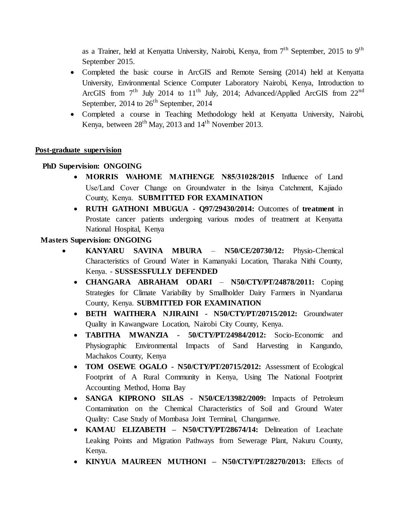as a Trainer, held at Kenyatta University, Nairobi, Kenya, from  $7<sup>th</sup>$  September, 2015 to 9<sup>th</sup> September 2015.

- Completed the basic course in ArcGIS and Remote Sensing (2014) held at Kenyatta University, Environmental Science Computer Laboratory Nairobi, Kenya, Introduction to ArcGIS from 7<sup>th</sup> July 2014 to 11<sup>th</sup> July, 2014; Advanced/Applied ArcGIS from 22<sup>nd</sup> September, 2014 to  $26<sup>th</sup>$  September, 2014
- Completed a course in Teaching Methodology held at Kenyatta University, Nairobi, Kenya, between  $28<sup>th</sup>$  May, 2013 and  $14<sup>th</sup>$  November 2013.

## **Post-graduate supervision**

### **PhD Supervision: ONGOING**

- **MORRIS WAHOME MATHENGE N85/31028/2015** Influence of Land Use/Land Cover Change on Groundwater in the Isinya Catchment, Kajiado County, Kenya. **SUBMITTED FOR EXAMINATION**
- **RUTH GATHONI MBUGUA - Q97/29430/2014:** Outcomes of **treatment** in Prostate cancer patients undergoing various modes of treatment at Kenyatta National Hospital, Kenya

### **Masters Supervision: ONGOING**

- **KANYARU SAVINA MBURA N50/CE/20730/12:** Physio-Chemical Characteristics of Ground Water in Kamanyaki Location, Tharaka Nithi County, Kenya. - **SUSSESSFULLY DEFENDED**
	- **CHANGARA ABRAHAM ODARI N50/CTY/PT/24878/2011:** Coping Strategies for Climate Variability by Smallholder Dairy Farmers in Nyandarua County, Kenya. **SUBMITTED FOR EXAMINATION**
	- **BETH WAITHERA NJIRAINI - N50/CTY/PT/20715/2012:** Groundwater Quality in Kawangware Location, Nairobi City County, Kenya.
	- **TABITHA MWANZIA - 50/CTY/PT/24984/2012:** Socio-Economic and Physiographic Environmental Impacts of Sand Harvesting in Kangundo, Machakos County, Kenya
	- **TOM OSEWE OGALO - N50/CTY/PT/20715/2012:** Assessment of Ecological Footprint of A Rural Community in Kenya, Using The National Footprint Accounting Method, Homa Bay
	- **SANGA KIPRONO SILAS - N50/CE/13982/2009:** Impacts of Petroleum Contamination on the Chemical Characteristics of Soil and Ground Water Quality: Case Study of Mombasa Joint Terminal, Changamwe.
	- **KAMAU ELIZABETH – N50/CTY/PT/28674/14:** Delineation of Leachate Leaking Points and Migration Pathways from Sewerage Plant, Nakuru County, Kenya.
	- **KINYUA MAUREEN MUTHONI – N50/CTY/PT/28270/2013:** Effects of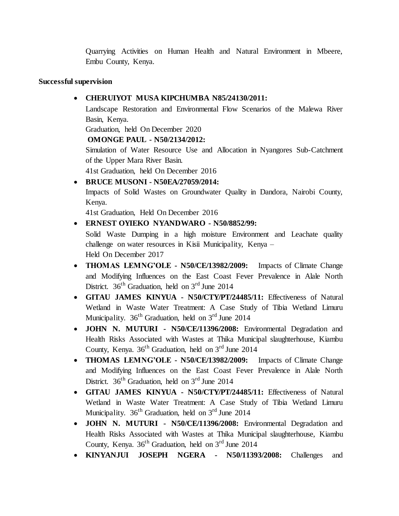Quarrying Activities on Human Health and Natural Environment in Mbeere, Embu County, Kenya.

### **Successful supervision**

# **CHERUIYOT MUSA KIPCHUMBA N85/24130/2011:**

Landscape Restoration and Environmental Flow Scenarios of the Malewa River Basin, Kenya.

Graduation, held On December 2020

**OMONGE PAUL - N50/2134/2012:**

Simulation of Water Resource Use and Allocation in Nyangores Sub-Catchment of the Upper Mara River Basin.

41st Graduation, held On December 2016

**BRUCE MUSONI - N50EA/27059/2014:** 

Impacts of Solid Wastes on Groundwater Quality in Dandora, Nairobi County, Kenya.

41st Graduation, Held On December 2016

# **ERNEST OYIEKO NYANDWARO - N50/8852/99:**

Solid Waste Dumping in a high moisture Environment and Leachate quality challenge on water resources in Kisii Municipality, Kenya – Held On December 2017

- THOMAS LEMNG'OLE N50/CE/13982/2009: Impacts of Climate Change and Modifying Influences on the East Coast Fever Prevalence in Alale North District.  $36<sup>th</sup>$  Graduation, held on  $3<sup>rd</sup>$  June 2014
- **GITAU JAMES KINYUA - N50/CTY/PT/24485/11:** Effectiveness of Natural Wetland in Waste Water Treatment: A Case Study of Tibia Wetland Limuru Municipality.  $36<sup>th</sup>$  Graduation, held on  $3<sup>rd</sup>$  June 2014
- **JOHN N. MUTURI - N50/CE/11396/2008:** Environmental Degradation and Health Risks Associated with Wastes at Thika Municipal slaughterhouse, Kiambu County, Kenya.  $36<sup>th</sup>$  Graduation, held on  $3<sup>rd</sup>$  June 2014
- **THOMAS LEMNG'OLE N50/CE/13982/2009:** Impacts of Climate Change and Modifying Influences on the East Coast Fever Prevalence in Alale North District.  $36<sup>th</sup>$  Graduation, held on  $3<sup>rd</sup>$  June 2014
- **GITAU JAMES KINYUA - N50/CTY/PT/24485/11:** Effectiveness of Natural Wetland in Waste Water Treatment: A Case Study of Tibia Wetland Limuru Municipality.  $36<sup>th</sup>$  Graduation, held on  $3<sup>rd</sup>$  June 2014
- **JOHN N. MUTURI - N50/CE/11396/2008:** Environmental Degradation and Health Risks Associated with Wastes at Thika Municipal slaughterhouse, Kiambu County, Kenya.  $36<sup>th</sup>$  Graduation, held on  $3<sup>rd</sup>$  June 2014
- **KINYANJUI JOSEPH NGERA - N50/11393/2008:** Challenges and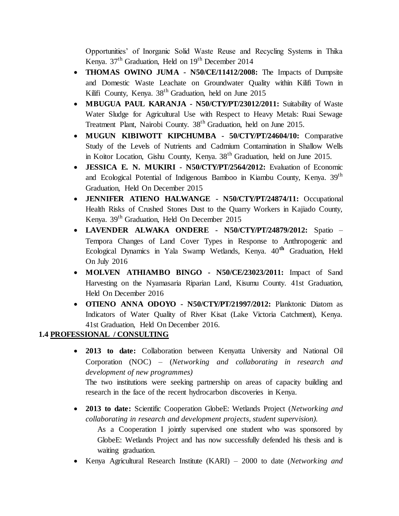Opportunities' of Inorganic Solid Waste Reuse and Recycling Systems in Thika Kenya.  $37<sup>th</sup>$  Graduation, Held on  $19<sup>th</sup>$  December 2014

- **THOMAS OWINO JUMA - N50/CE/11412/2008:** The Impacts of Dumpsite and Domestic Waste Leachate on Groundwater Quality within Kilifi Town in Kilifi County, Kenya. 38<sup>th</sup> Graduation, held on June 2015
- **MBUGUA PAUL KARANJA - N50/CTY/PT/23012/2011:** Suitability of Waste Water Sludge for Agricultural Use with Respect to Heavy Metals: Ruai Sewage Treatment Plant, Nairobi County. 38th Graduation, held on June 2015.
- **MUGUN KIBIWOTT KIPCHUMBA - 50/CTY/PT/24604/10:** Comparative Study of the Levels of Nutrients and Cadmium Contamination in Shallow Wells in Koitor Location, Gishu County, Kenya.  $38<sup>th</sup>$  Graduation, held on June 2015.
- **JESSICA E. N. MUKIRI - N50/CTY/PT/2564/2012:** Evaluation of Economic and Ecological Potential of Indigenous Bamboo in Kiambu County, Kenya. 39th Graduation, Held On December 2015
- **JENNIFER ATIENO HALWANGE - N50/CTY/PT/24874/11:** Occupational Health Risks of Crushed Stones Dust to the Quarry Workers in Kajiado County, Kenya. 39th Graduation, Held On December 2015
- **LAVENDER ALWAKA ONDERE - N50/CTY/PT/24879/2012:** Spatio Tempora Changes of Land Cover Types in Response to Anthropogenic and Ecological Dynamics in Yala Swamp Wetlands, Kenya. 40**th** Graduation, Held On July 2016
- **MOLVEN ATHIAMBO BINGO - N50/CE/23023/2011:** Impact of Sand Harvesting on the Nyamasaria Riparian Land, Kisumu County. 41st Graduation, Held On December 2016
- **OTIENO ANNA ODOYO - N50/CTY/PT/21997/2012:** Planktonic Diatom as Indicators of Water Quality of River Kisat (Lake Victoria Catchment), Kenya. 41st Graduation, Held On December 2016.

# **1.4 PROFESSIONAL / CONSULTING**

 **2013 to date:** Collaboration between Kenyatta University and National Oil Corporation (NOC) – (*Networking and collaborating in research and development of new programmes)*

The two institutions were seeking partnership on areas of capacity building and research in the face of the recent hydrocarbon discoveries in Kenya.

 **2013 to date:** Scientific Cooperation GlobeE: Wetlands Project (*Networking and collaborating in research and development projects, student supervision).*

As a Cooperation I jointly supervised one student who was sponsored by GlobeE: Wetlands Project and has now successfully defended his thesis and is waiting graduation.

Kenya Agricultural Research Institute (KARI) – 2000 to date (*Networking and*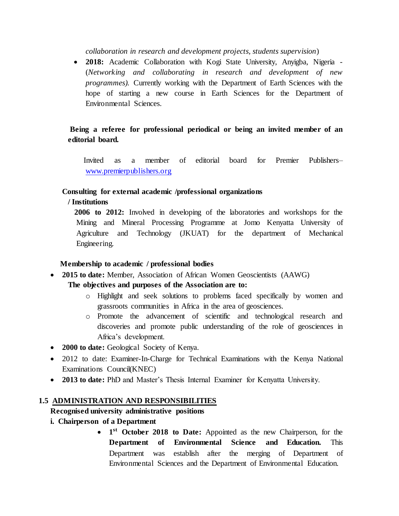*collaboration in research and development projects, students supervision*)

 **2018:** Academic Collaboration with Kogi State University, Anyigba, Nigeria - (*Networking and collaborating in research and development of new programmes).* Currently working with the Department of Earth Sciences with the hope of starting a new course in Earth Sciences for the Department of Environmental Sciences.

# **Being a referee for professional periodical or being an invited member of an editorial board.**

 Invited as a member of editorial board for Premier Publishers– [www.premierpublishers.org](http://www.premierpublishers.org/)

### **Consulting for external academic /professional organizations**

### **/ Institutions**

 **2006 to 2012:** Involved in developing of the laboratories and workshops for the Mining and Mineral Processing Programme at Jomo Kenyatta University of Agriculture and Technology (JKUAT) for the department of Mechanical Engineering.

#### **Membership to academic / professional bodies**

**2015 to date:** Member, Association of African Women Geoscientists (AAWG)

## **The objectives and purposes of the Association are to:**

- o Highlight and seek solutions to problems faced specifically by women and grassroots communities in Africa in the area of geosciences.
- o Promote the advancement of scientific and technological research and discoveries and promote public understanding of the role of geosciences in Africa's development.
- **2000 to date:** Geological Society of Kenya.
- 2012 to date: Examiner-In-Charge for Technical Examinations with the Kenya National Examinations Council(KNEC)
- **2013 to date:** PhD and Master's Thesis Internal Examiner for Kenyatta University.

## **1.5 ADMINISTRATION AND RESPONSIBILITIES**

## **Recognised university administrative positions**

- **i. Chairperson of a Department**
	- 1<sup>st</sup> October 2018 to Date: Appointed as the new Chairperson, for the **Department of Environmental Science and Education.** This Department was establish after the merging of Department of Environmental Sciences and the Department of Environmental Education.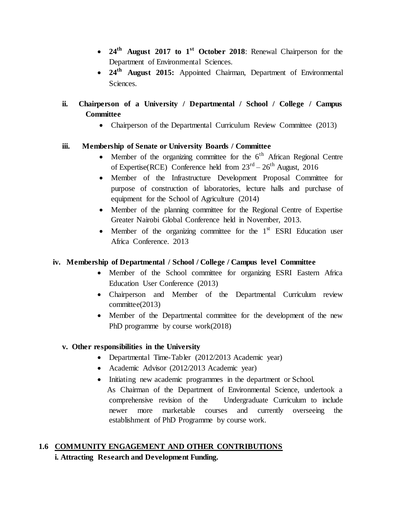- **24th August 2017 to 1st October 2018**: Renewal Chairperson for the Department of Environmental Sciences.
- **24th August 2015:** Appointed Chairman, Department of Environmental Sciences.

# **ii. Chairperson of a University / Departmental / School / College / Campus Committee**

• Chairperson of the Departmental Curriculum Review Committee (2013)

# **iii. Membership of Senate or University Boards / Committee**

- Member of the organizing committee for the  $6<sup>th</sup>$  African Regional Centre of Expertise(RCE) Conference held from  $23<sup>rd</sup> - 26<sup>th</sup>$  August, 2016
- Member of the Infrastructure Development Proposal Committee for purpose of construction of laboratories, lecture halls and purchase of equipment for the School of Agriculture (2014)
- Member of the planning committee for the Regional Centre of Expertise Greater Nairobi Global Conference held in November, 2013.
- Member of the organizing committee for the  $1<sup>st</sup>$  ESRI Education user Africa Conference. 2013

# **iv. Membership of Departmental / School / College / Campus level Committee**

- Member of the School committee for organizing ESRI Eastern Africa Education User Conference (2013)
- Chairperson and Member of the Departmental Curriculum review committee(2013)
- Member of the Departmental committee for the development of the new PhD programme by course work(2018)

# **v. Other responsibilities in the University**

- Departmental Time-Tabler (2012/2013 Academic year)
- Academic Advisor (2012/2013 Academic year)
- Initiating new academic programmes in the department or School. As Chairman of the Department of Environmental Science, undertook a comprehensive revision of the Undergraduate Curriculum to include newer more marketable courses and currently overseeing the establishment of PhD Programme by course work.

# **1.6 COMMUNITY ENGAGEMENT AND OTHER CONTRIBUTIONS i. Attracting Research and Development Funding.**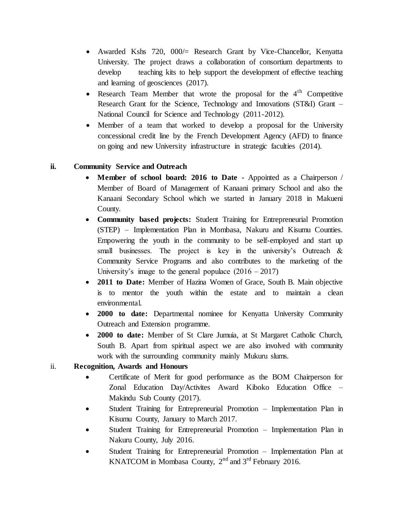- Awarded Kshs 720, 000/= Research Grant by Vice-Chancellor, Kenyatta University. The project draws a collaboration of consortium departments to develop teaching kits to help support the development of effective teaching and learning of geosciences (2017).
- Research Team Member that wrote the proposal for the  $4<sup>th</sup>$  Competitive Research Grant for the Science, Technology and Innovations (ST&I) Grant – National Council for Science and Technology (2011-2012).
- Member of a team that worked to develop a proposal for the University concessional credit line by the French Development Agency (AFD) to finance on going and new University infrastructure in strategic faculties (2014).

# **ii. Community Service and Outreach**

- **Member of school board: 2016 to Date -** Appointed as a Chairperson / Member of Board of Management of Kanaani primary School and also the Kanaani Secondary School which we started in January 2018 in Makueni County.
- **Community based projects:** Student Training for Entrepreneurial Promotion (STEP) – Implementation Plan in Mombasa, Nakuru and Kisumu Counties. Empowering the youth in the community to be self-employed and start up small businesses. The project is key in the university's Outreach & Community Service Programs and also contributes to the marketing of the University's image to the general populace  $(2016 - 2017)$
- **2011 to Date:** Member of Hazina Women of Grace, South B. Main objective is to mentor the youth within the estate and to maintain a clean environmental.
- **2000 to date:** Departmental nominee for Kenyatta University Community Outreach and Extension programme.
- **2000 to date:** Member of St Clare Jumuia, at St Margaret Catholic Church, South B. Apart from spiritual aspect we are also involved with community work with the surrounding community mainly Mukuru slums.

## ii. **Recognition, Awards and Honours**

- Certificate of Merit for good performance as the BOM Chairperson for Zonal Education Day/Activites Award Kiboko Education Office – Makindu Sub County (2017).
- Student Training for Entrepreneurial Promotion Implementation Plan in Kisumu County, January to March 2017.
- Student Training for Entrepreneurial Promotion Implementation Plan in Nakuru County, July 2016.
- Student Training for Entrepreneurial Promotion Implementation Plan at KNATCOM in Mombasa County,  $2<sup>nd</sup>$  and  $3<sup>rd</sup>$  February 2016.